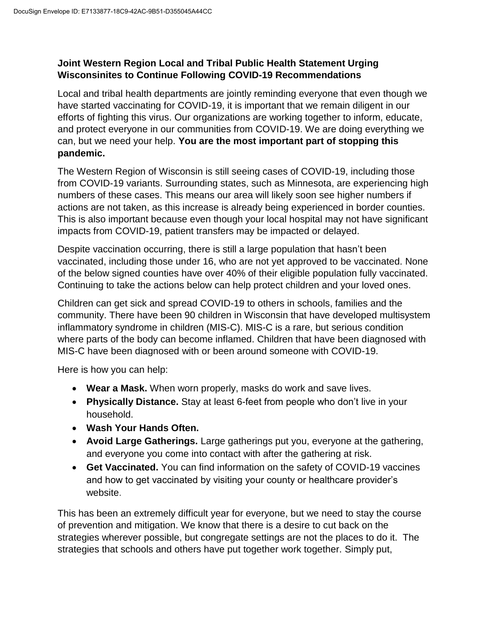## **Joint Western Region Local and Tribal Public Health Statement Urging Wisconsinites to Continue Following COVID-19 Recommendations**

Local and tribal health departments are jointly reminding everyone that even though we have started vaccinating for COVID-19, it is important that we remain diligent in our efforts of fighting this virus. Our organizations are working together to inform, educate, and protect everyone in our communities from COVID-19. We are doing everything we can, but we need your help. **You are the most important part of stopping this pandemic.**

The Western Region of Wisconsin is still seeing cases of COVID-19, including those from COVID-19 variants. Surrounding states, such as Minnesota, are experiencing high numbers of these cases. This means our area will likely soon see higher numbers if actions are not taken, as this increase is already being experienced in border counties. This is also important because even though your local hospital may not have significant impacts from COVID-19, patient transfers may be impacted or delayed.

Despite vaccination occurring, there is still a large population that hasn't been vaccinated, including those under 16, who are not yet approved to be vaccinated. None of the below signed counties have over 40% of their eligible population fully vaccinated. Continuing to take the actions below can help protect children and your loved ones.

Children can get sick and spread COVID-19 to others in schools, families and the community. There have been 90 children in Wisconsin that have developed multisystem inflammatory syndrome in children (MIS-C). MIS-C is a rare, but serious condition where parts of the body can become inflamed. Children that have been diagnosed with MIS-C have been diagnosed with or been around someone with COVID-19.

Here is how you can help:

- **Wear a Mask.** When worn properly, masks do work and save lives.
- **Physically Distance.** Stay at least 6-feet from people who don't live in your household.
- **Wash Your Hands Often.**
- **Avoid Large Gatherings.** Large gatherings put you, everyone at the gathering, and everyone you come into contact with after the gathering at risk.
- **Get Vaccinated.** You can find information on the safety of COVID-19 vaccines and how to get vaccinated by visiting your county or healthcare provider's website.

This has been an extremely difficult year for everyone, but we need to stay the course of prevention and mitigation. We know that there is a desire to cut back on the strategies wherever possible, but congregate settings are not the places to do it. The strategies that schools and others have put together work together. Simply put,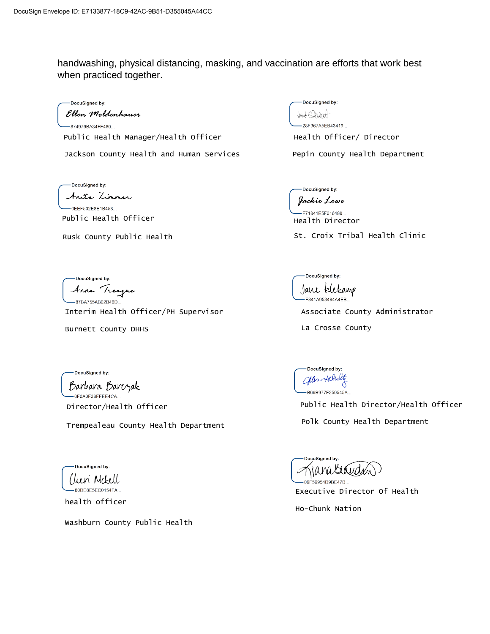handwashing, physical distancing, masking, and vaccination are efforts that work best when practiced together.

DocuSigned by:

Ellen Moldenhauer -874979BA34FF480... Public Health Manager/Health Officer Thealth Officer/ Director

Jackson County Health and Human Services

DocuSigned by: Anita Zimmer -0EEF502E8E1B458... Public Health Officer

Rusk County Public Health

DocuSigned by: Anna Treague

87BA755AB02B46D. Interim Health Officer/PH Supervisor

Burnett County DHHS

DocuSigned by: Hach Skulat 28F367A5EB43419...

Pepin County Health Department

DocuSigned by: Jackie Lowe

-F71841E5F016488.. Health Director

St. Croix Tribal Health Clinic

DocuSigned by: Jane Elekamp -F841A953484A4EB..

Associate County Administrator

La Crosse County

DocuSianed by:

Barbara Barczak -0F0A0F38FFEE4CA...

Director/Health Officer

Trempealeau County Health Department

DocuSigned by: Chen Mekell -80DE8E5EC0154FA..

health officer

Washburn County Public Health

DocuSigned by: Jean Achaltz B66B977F250545A

Public Health Director/Health Officer

Polk County Health Department

Executive Director Of Health

Ho-Chunk Nation